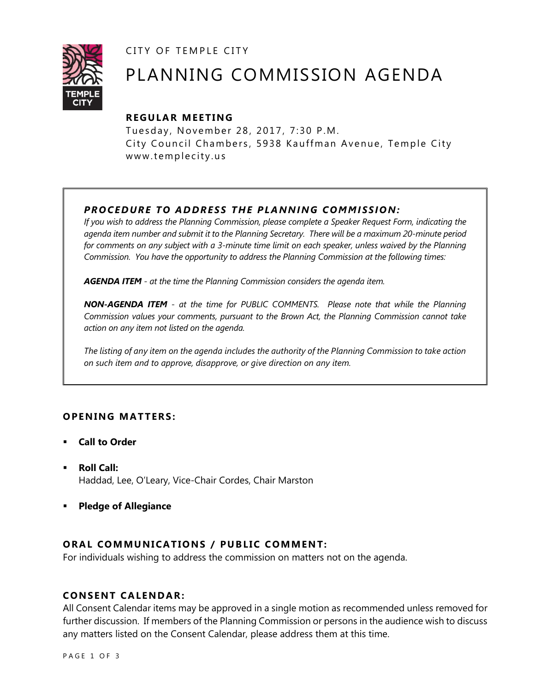CITY OF TEMPLE CITY



# PLANNING COMMISSION AGENDA

## **R EGULA R MEE TING**

Tuesday, November 28, 2017, 7:30 P.M. City Council Chambers, 5938 Kauffman Avenue, Temple City www.templecity.us

## *PRO CE DURE TO ADDRE SS THE P LA NNI NG COMM I SSION:*

*If you wish to address the Planning Commission, please complete a Speaker Request Form, indicating the agenda item number and submit it to the Planning Secretary. There will be a maximum 20-minute period*  for comments on any subject with a 3-minute time limit on each speaker, unless waived by the Planning *Commission. You have the opportunity to address the Planning Commission at the following times:*

*AGENDA ITEM - at the time the Planning Commission considers the agenda item.*

*NON-AGENDA ITEM - at the time for PUBLIC COMMENTS. Please note that while the Planning Commission values your comments, pursuant to the Brown Act, the Planning Commission cannot take action on any item not listed on the agenda.*

*The listing of any item on the agenda includes the authority of the Planning Commission to take action on such item and to approve, disapprove, or give direction on any item.*

## **OPENING MATTERS:**

- **Call to Order**
- **Roll Call:** Haddad, Lee, O'Leary, Vice-Chair Cordes, Chair Marston
- **Pledge of Allegiance**

## **ORAL COMMUNICATIONS / PUBLIC COMMENT:**

For individuals wishing to address the commission on matters not on the agenda.

#### **CONSENT CA LENDAR:**

All Consent Calendar items may be approved in a single motion as recommended unless removed for further discussion. If members of the Planning Commission or persons in the audience wish to discuss any matters listed on the Consent Calendar, please address them at this time.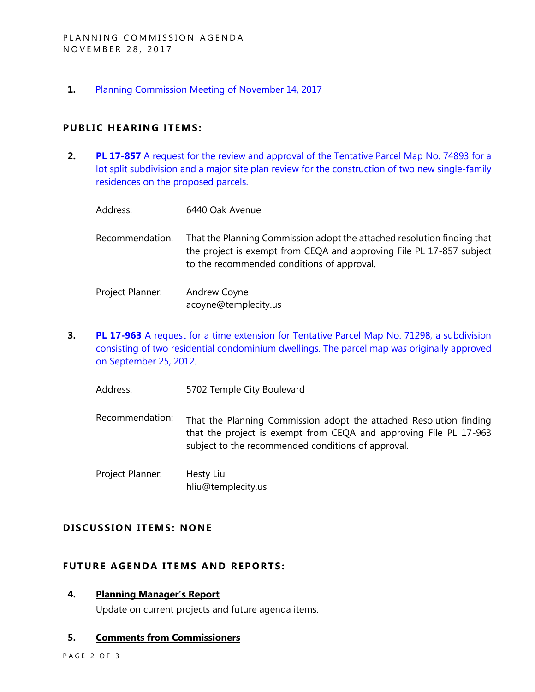**1.** [Planning Commission Meeting of November 14, 2017](https://ca-templecity.civicplus.com/DocumentCenter/View/9496)

### **PUBLIC HEARING ITEMS:**

- **2. PL 17-857** A request for the review and approval of the Tentative Parcel Map No. 74893 for a [lot split subdivision and a major site plan review for the construction of two new single-family](http://www.ci.temple-city.ca.us/DocumentCenter/View/9506)  [residences on the proposed parcels.](http://www.ci.temple-city.ca.us/DocumentCenter/View/9506)
	- Address: 6440 Oak Avenue
	- Recommendation: That the Planning Commission adopt the attached resolution finding that the project is exempt from CEQA and approving File PL 17-857 subject to the recommended conditions of approval.
	- Project Planner: Andrew Coyne acoyne@templecity.us
- **3. PL 17-963** [A request for a time extension for Tentative Parcel Map No. 71298, a subdivision](http://www.ci.temple-city.ca.us/DocumentCenter/View/9507)  [consisting of two residential condominium dwellings. The parcel map wa](http://www.ci.temple-city.ca.us/DocumentCenter/View/9507)*s* originally approved [on September 25, 2012.](http://www.ci.temple-city.ca.us/DocumentCenter/View/9507)
	- Address: 5702 Temple City Boulevard
	- Recommendation: That the Planning Commission adopt the attached Resolution finding that the project is exempt from CEQA and approving File PL 17-963 subject to the recommended conditions of approval.
	- Project Planner: Hesty Liu hliu@templecity.us

#### **D ISCUSSION ITEMS: NONE**

#### **FUTURE AGENDA ITEMS AND REPORTS:**

#### **4. Planning Manager's Report**

Update on current projects and future agenda items.

## **5. Comments from Commissioners**